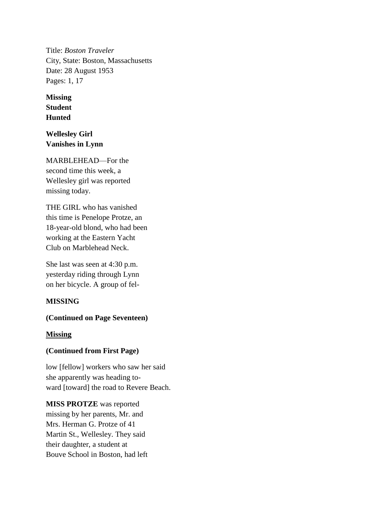Title: *Boston Traveler* City, State: Boston, Massachusetts Date: 28 August 1953 Pages: 1, 17

**Missing Student Hunted**

**Wellesley Girl Vanishes in Lynn**

MARBLEHEAD—For the second time this week, a Wellesley girl was reported missing today.

THE GIRL who has vanished this time is Penelope Protze, an 18-year-old blond, who had been working at the Eastern Yacht Club on Marblehead Neck.

She last was seen at 4:30 p.m. yesterday riding through Lynn on her bicycle. A group of fel-

# **MISSING**

### **(Continued on Page Seventeen)**

### **Missing**

# **(Continued from First Page)**

low [fellow] workers who saw her said she apparently was heading toward [toward] the road to Revere Beach.

**MISS PROTZE** was reported missing by her parents, Mr. and Mrs. Herman G. Protze of 41 Martin St., Wellesley. They said their daughter, a student at Bouve School in Boston, had left